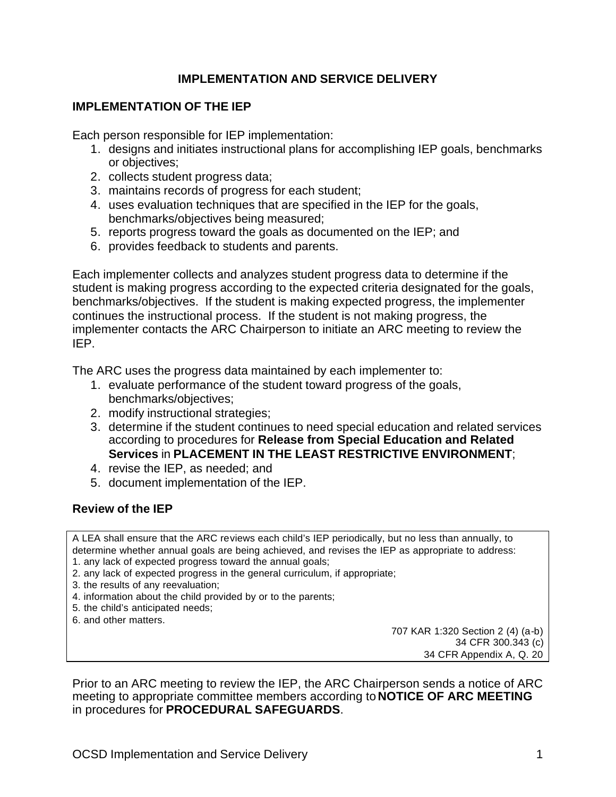# **IMPLEMENTATION AND SERVICE DELIVERY**

### **IMPLEMENTATION OF THE IEP**

Each person responsible for IEP implementation:

- 1. designs and initiates instructional plans for accomplishing IEP goals, benchmarks or objectives;
- 2. collects student progress data;
- 3. maintains records of progress for each student;
- 4. uses evaluation techniques that are specified in the IEP for the goals, benchmarks/objectives being measured;
- 5. reports progress toward the goals as documented on the IEP; and
- 6. provides feedback to students and parents.

Each implementer collects and analyzes student progress data to determine if the student is making progress according to the expected criteria designated for the goals, benchmarks/objectives. If the student is making expected progress, the implementer continues the instructional process. If the student is not making progress, the implementer contacts the ARC Chairperson to initiate an ARC meeting to review the IEP.

The ARC uses the progress data maintained by each implementer to:

- 1. evaluate performance of the student toward progress of the goals, benchmarks/objectives;
- 2. modify instructional strategies;
- 3. determine if the student continues to need special education and related services according to procedures for **Release from Special Education and Related Services** in **PLACEMENT IN THE LEAST RESTRICTIVE ENVIRONMENT**;
- 4. revise the IEP, as needed; and
- 5. document implementation of the IEP.

### **Review of the IEP**

A LEA shall ensure that the ARC reviews each child's IEP periodically, but no less than annually, to determine whether annual goals are being achieved, and revises the IEP as appropriate to address: 1. any lack of expected progress toward the annual goals;

2. any lack of expected progress in the general curriculum, if appropriate;

- 3. the results of any reevaluation;
- 4. information about the child provided by or to the parents;
- 5. the child's anticipated needs;
- 6. and other matters.

707 KAR 1:320 Section 2 (4) (a-b) 34 CFR 300.343 (c) 34 CFR Appendix A, Q. 20

Prior to an ARC meeting to review the IEP, the ARC Chairperson sends a notice of ARC meeting to appropriate committee members according to **NOTICE OF ARC MEETING** in procedures for **PROCEDURAL SAFEGUARDS**.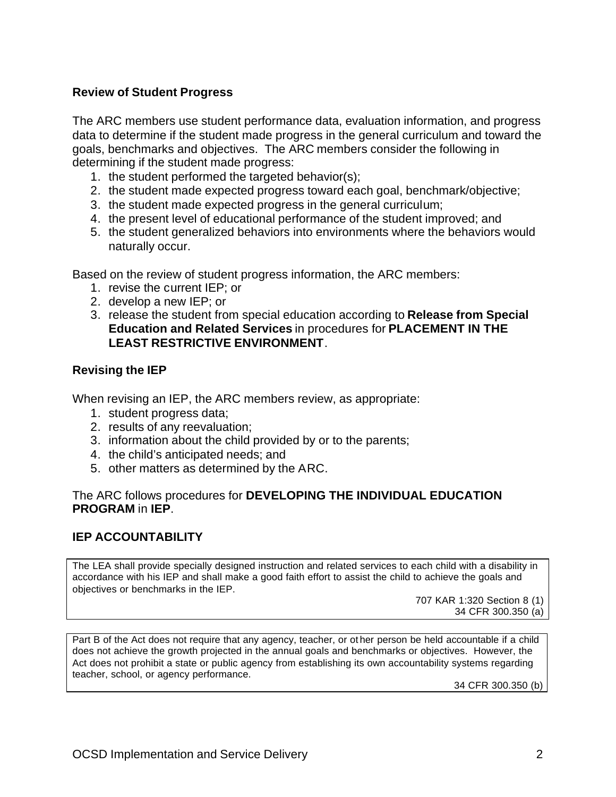### **Review of Student Progress**

The ARC members use student performance data, evaluation information, and progress data to determine if the student made progress in the general curriculum and toward the goals, benchmarks and objectives. The ARC members consider the following in determining if the student made progress:

- 1. the student performed the targeted behavior(s);
- 2. the student made expected progress toward each goal, benchmark/objective;
- 3. the student made expected progress in the general curriculum;
- 4. the present level of educational performance of the student improved; and
- 5. the student generalized behaviors into environments where the behaviors would naturally occur.

Based on the review of student progress information, the ARC members:

- 1. revise the current IEP; or
- 2. develop a new IEP; or
- 3. release the student from special education according to **Release from Special Education and Related Services** in procedures for **PLACEMENT IN THE LEAST RESTRICTIVE ENVIRONMENT**.

# **Revising the IEP**

When revising an IEP, the ARC members review, as appropriate:

- 1. student progress data;
- 2. results of any reevaluation;
- 3. information about the child provided by or to the parents;
- 4. the child's anticipated needs; and
- 5. other matters as determined by the ARC.

### The ARC follows procedures for **DEVELOPING THE INDIVIDUAL EDUCATION PROGRAM** in **IEP**.

# **IEP ACCOUNTABILITY**

The LEA shall provide specially designed instruction and related services to each child with a disability in accordance with his IEP and shall make a good faith effort to assist the child to achieve the goals and objectives or benchmarks in the IEP.

707 KAR 1:320 Section 8 (1) 34 CFR 300.350 (a)

Part B of the Act does not require that any agency, teacher, or ot her person be held accountable if a child does not achieve the growth projected in the annual goals and benchmarks or objectives. However, the Act does not prohibit a state or public agency from establishing its own accountability systems regarding teacher, school, or agency performance.

34 CFR 300.350 (b)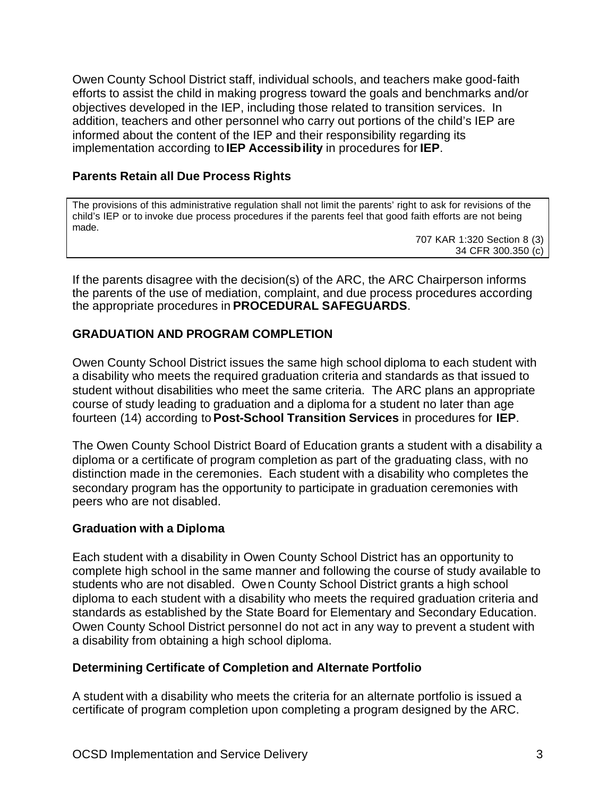Owen County School District staff, individual schools, and teachers make good-faith efforts to assist the child in making progress toward the goals and benchmarks and/or objectives developed in the IEP, including those related to transition services. In addition, teachers and other personnel who carry out portions of the child's IEP are informed about the content of the IEP and their responsibility regarding its implementation according to **IEP Accessibility** in procedures for **IEP**.

### **Parents Retain all Due Process Rights**

The provisions of this administrative regulation shall not limit the parents' right to ask for revisions of the child's IEP or to invoke due process procedures if the parents feel that good faith efforts are not being made.

707 KAR 1:320 Section 8 (3) 34 CFR 300.350 (c)

If the parents disagree with the decision(s) of the ARC, the ARC Chairperson informs the parents of the use of mediation, complaint, and due process procedures according the appropriate procedures in **PROCEDURAL SAFEGUARDS**.

### **GRADUATION AND PROGRAM COMPLETION**

Owen County School District issues the same high school diploma to each student with a disability who meets the required graduation criteria and standards as that issued to student without disabilities who meet the same criteria. The ARC plans an appropriate course of study leading to graduation and a diploma for a student no later than age fourteen (14) according to **Post-School Transition Services** in procedures for **IEP**.

The Owen County School District Board of Education grants a student with a disability a diploma or a certificate of program completion as part of the graduating class, with no distinction made in the ceremonies. Each student with a disability who completes the secondary program has the opportunity to participate in graduation ceremonies with peers who are not disabled.

### **Graduation with a Diploma**

Each student with a disability in Owen County School District has an opportunity to complete high school in the same manner and following the course of study available to students who are not disabled. Owen County School District grants a high school diploma to each student with a disability who meets the required graduation criteria and standards as established by the State Board for Elementary and Secondary Education. Owen County School District personnel do not act in any way to prevent a student with a disability from obtaining a high school diploma.

### **Determining Certificate of Completion and Alternate Portfolio**

A student with a disability who meets the criteria for an alternate portfolio is issued a certificate of program completion upon completing a program designed by the ARC.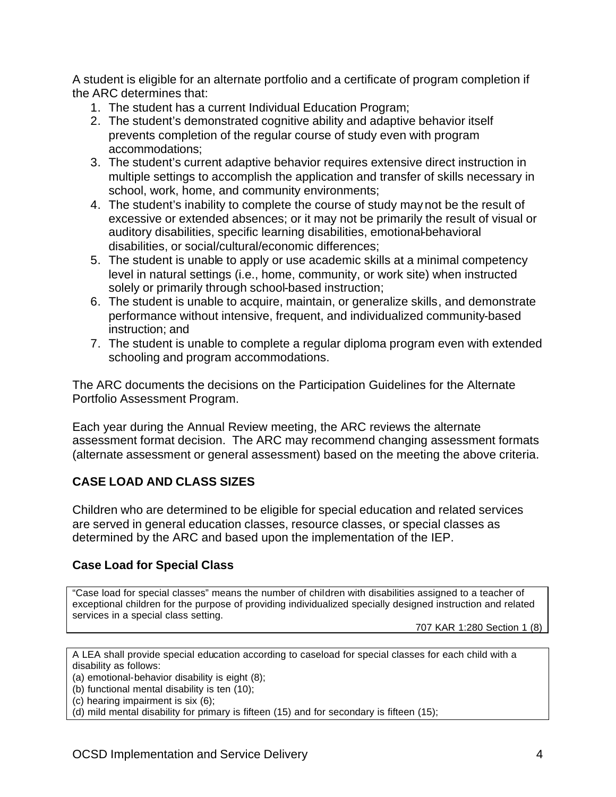A student is eligible for an alternate portfolio and a certificate of program completion if the ARC determines that:

- 1. The student has a current Individual Education Program;
- 2. The student's demonstrated cognitive ability and adaptive behavior itself prevents completion of the regular course of study even with program accommodations;
- 3. The student's current adaptive behavior requires extensive direct instruction in multiple settings to accomplish the application and transfer of skills necessary in school, work, home, and community environments;
- 4. The student's inability to complete the course of study may not be the result of excessive or extended absences; or it may not be primarily the result of visual or auditory disabilities, specific learning disabilities, emotional-behavioral disabilities, or social/cultural/economic differences;
- 5. The student is unable to apply or use academic skills at a minimal competency level in natural settings (i.e., home, community, or work site) when instructed solely or primarily through school-based instruction;
- 6. The student is unable to acquire, maintain, or generalize skills, and demonstrate performance without intensive, frequent, and individualized community-based instruction; and
- 7. The student is unable to complete a regular diploma program even with extended schooling and program accommodations.

The ARC documents the decisions on the Participation Guidelines for the Alternate Portfolio Assessment Program.

Each year during the Annual Review meeting, the ARC reviews the alternate assessment format decision. The ARC may recommend changing assessment formats (alternate assessment or general assessment) based on the meeting the above criteria.

# **CASE LOAD AND CLASS SIZES**

Children who are determined to be eligible for special education and related services are served in general education classes, resource classes, or special classes as determined by the ARC and based upon the implementation of the IEP.

# **Case Load for Special Class**

"Case load for special classes" means the number of children with disabilities assigned to a teacher of exceptional children for the purpose of providing individualized specially designed instruction and related services in a special class setting.

707 KAR 1:280 Section 1 (8)

A LEA shall provide special education according to caseload for special classes for each child with a disability as follows:

(a) emotional-behavior disability is eight (8);

- (b) functional mental disability is ten (10);
- (c) hearing impairment is six (6);

(d) mild mental disability for primary is fifteen (15) and for secondary is fifteen (15);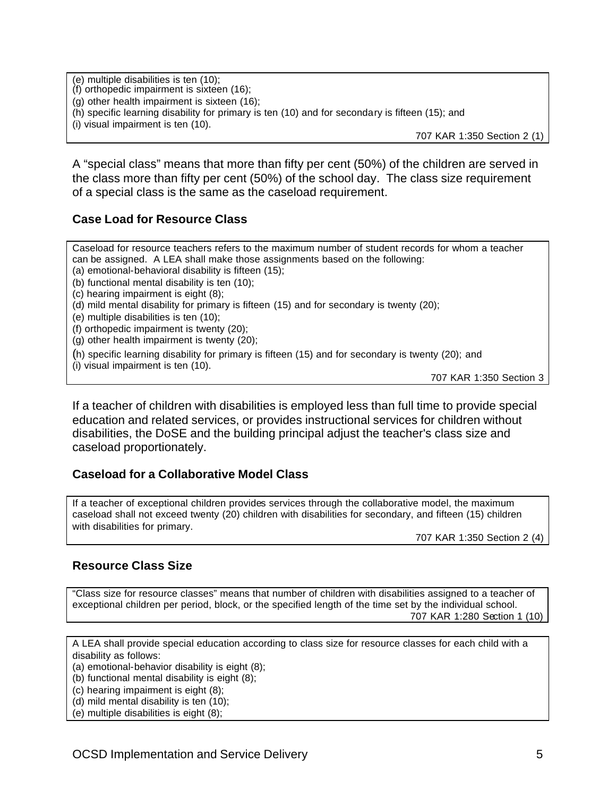(e) multiple disabilities is ten (10); (f) orthopedic impairment is sixteen (16); (g) other health impairment is sixteen (16); (h) specific learning disability for primary is ten (10) and for secondary is fifteen (15); and (i) visual impairment is ten (10). 707 KAR 1:350 Section 2 (1)

A "special class" means that more than fifty per cent (50%) of the children are served in the class more than fifty per cent (50%) of the school day. The class size requirement of a special class is the same as the caseload requirement.

### **Case Load for Resource Class**

Caseload for resource teachers refers to the maximum number of student records for whom a teacher can be assigned. A LEA shall make those assignments based on the following: (a) emotional-behavioral disability is fifteen (15); (b) functional mental disability is ten (10); (c) hearing impairment is eight (8); (d) mild mental disability for primary is fifteen (15) and for secondary is twenty (20); (e) multiple disabilities is ten (10); (f) orthopedic impairment is twenty (20); (g) other health impairment is twenty (20);

(h) specific learning disability for primary is fifteen (15) and for secondary is twenty (20); and

(i) visual impairment is ten (10).

707 KAR 1:350 Section 3

If a teacher of children with disabilities is employed less than full time to provide special education and related services, or provides instructional services for children without disabilities, the DoSE and the building principal adjust the teacher's class size and caseload proportionately.

### **Caseload for a Collaborative Model Class**

If a teacher of exceptional children provides services through the collaborative model, the maximum caseload shall not exceed twenty (20) children with disabilities for secondary, and fifteen (15) children with disabilities for primary.

707 KAR 1:350 Section 2 (4)

#### **Resource Class Size**

"Class size for resource classes" means that number of children with disabilities assigned to a teacher of exceptional children per period, block, or the specified length of the time set by the individual school. 707 KAR 1:280 Section 1 (10)

A LEA shall provide special education according to class size for resource classes for each child with a disability as follows:

(a) emotional-behavior disability is eight (8);

- (b) functional mental disability is eight (8);
- (c) hearing impairment is eight (8);
- (d) mild mental disability is ten (10);
- (e) multiple disabilities is eight (8);